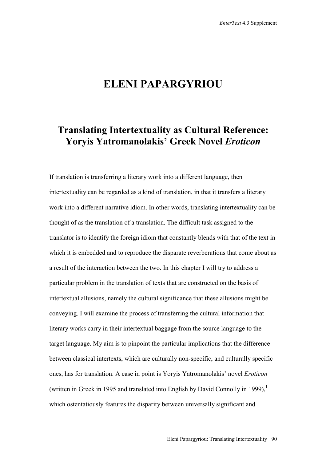## **ELENI PAPARGYRIOU**

## **Translating Intertextuality as Cultural Reference: Yoryis Yatromanolakis' Greek Novel** *Eroticon*

If translation is transferring a literary work into a different language, then intertextuality can be regarded as a kind of translation, in that it transfers a literary work into a different narrative idiom. In other words, translating intertextuality can be thought of as the translation of a translation. The difficult task assigned to the translator is to identify the foreign idiom that constantly blends with that of the text in which it is embedded and to reproduce the disparate reverberations that come about as a result of the interaction between the two. In this chapter I will try to address a particular problem in the translation of texts that are constructed on the basis of intertextual allusions, namely the cultural significance that these allusions might be conveying. I will examine the process of transferring the cultural information that literary works carry in their intertextual baggage from the source language to the target language. My aim is to pinpoint the particular implications that the difference between classical intertexts, which are culturally non-specific, and culturally specific ones, has for translation. A case in point is Yoryis Yatromanolakis' novel *Eroticon*  (written in Greek in 1995 and translated into English by David Connolly in 1999).<sup>1</sup> which ostentatiously features the disparity between universally significant and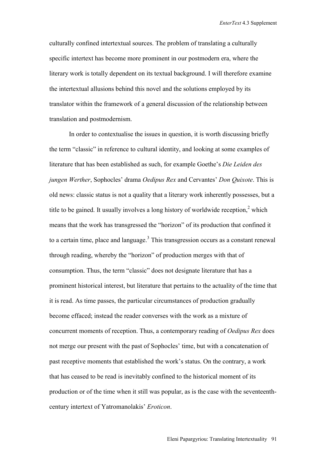culturally confined intertextual sources. The problem of translating a culturally specific intertext has become more prominent in our postmodern era, where the literary work is totally dependent on its textual background. I will therefore examine the intertextual allusions behind this novel and the solutions employed by its translator within the framework of a general discussion of the relationship between translation and postmodernism.

In order to contextualise the issues in question, it is worth discussing briefly the term "classic" in reference to cultural identity, and looking at some examples of literature that has been established as such, for example Goethe's *Die Leiden des jungen Werther*, Sophocles' drama *Oedipus Rex* and Cervantes' *Don Quixote*. This is old news: classic status is not a quality that a literary work inherently possesses, but a title to be gained. It usually involves a long history of worldwide reception,<sup>2</sup> which means that the work has transgressed the "horizon" of its production that confined it to a certain time, place and language. $3$  This transgression occurs as a constant renewal through reading, whereby the "horizon" of production merges with that of consumption. Thus, the term "classic" does not designate literature that has a prominent historical interest, but literature that pertains to the actuality of the time that it is read. As time passes, the particular circumstances of production gradually become effaced; instead the reader converses with the work as a mixture of concurrent moments of reception. Thus, a contemporary reading of *Oedipus Rex* does not merge our present with the past of Sophocles' time, but with a concatenation of past receptive moments that established the work's status. On the contrary, a work that has ceased to be read is inevitably confined to the historical moment of its production or of the time when it still was popular, as is the case with the seventeenthcentury intertext of Yatromanolakis' *Eroticon*.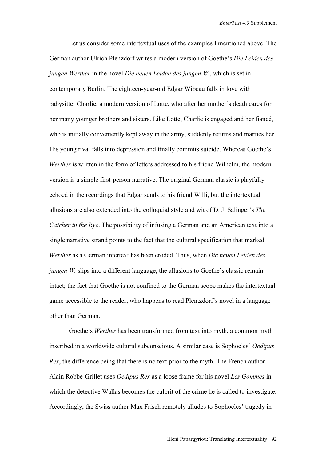Let us consider some intertextual uses of the examples I mentioned above. The German author Ulrich Plenzdorf writes a modern version of Goethe's *Die Leiden des jungen Werther* in the novel *Die neuen Leiden des jungen W.*, which is set in contemporary Berlin. The eighteen-year-old Edgar Wibeau falls in love with babysitter Charlie, a modern version of Lotte, who after her mother's death cares for her many younger brothers and sisters. Like Lotte, Charlie is engaged and her fiancé, who is initially conveniently kept away in the army, suddenly returns and marries her. His young rival falls into depression and finally commits suicide. Whereas Goethe's *Werther* is written in the form of letters addressed to his friend Wilhelm, the modern version is a simple first-person narrative. The original German classic is playfully echoed in the recordings that Edgar sends to his friend Willi, but the intertextual allusions are also extended into the colloquial style and wit of D. J. Salinger's *The Catcher in the Rye*. The possibility of infusing a German and an American text into a single narrative strand points to the fact that the cultural specification that marked *Werther* as a German intertext has been eroded. Thus, when *Die neuen Leiden des jungen W.* slips into a different language, the allusions to Goethe's classic remain intact; the fact that Goethe is not confined to the German scope makes the intertextual game accessible to the reader, who happens to read Plentzdorf's novel in a language other than German.

Goethe's *Werther* has been transformed from text into myth, a common myth inscribed in a worldwide cultural subconscious. A similar case is Sophocles' *Oedipus Rex*, the difference being that there is no text prior to the myth. The French author Alain Robbe-Grillet uses *Oedipus Rex* as a loose frame for his novel *Les Gommes* in which the detective Wallas becomes the culprit of the crime he is called to investigate. Accordingly, the Swiss author Max Frisch remotely alludes to Sophocles' tragedy in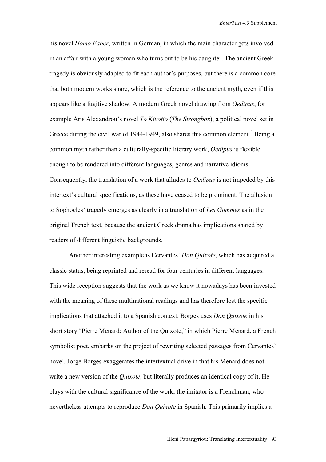his novel *Homo Faber*, written in German, in which the main character gets involved in an affair with a young woman who turns out to be his daughter. The ancient Greek tragedy is obviously adapted to fit each author's purposes, but there is a common core that both modern works share, which is the reference to the ancient myth, even if this appears like a fugitive shadow. A modern Greek novel drawing from *Oedipus*, for example Aris Alexandrou's novel *To Kivotio* (*The Strongbox*), a political novel set in Greece during the civil war of 1944-1949, also shares this common element.<sup>4</sup> Being a common myth rather than a culturally-specific literary work, *Oedipus* is flexible enough to be rendered into different languages, genres and narrative idioms. Consequently, the translation of a work that alludes to *Oedipus* is not impeded by this intertext's cultural specifications, as these have ceased to be prominent. The allusion to Sophocles' tragedy emerges as clearly in a translation of *Les Gommes* as in the original French text, because the ancient Greek drama has implications shared by readers of different linguistic backgrounds.

Another interesting example is Cervantes' *Don Quixote*, which has acquired a classic status, being reprinted and reread for four centuries in different languages. This wide reception suggests that the work as we know it nowadays has been invested with the meaning of these multinational readings and has therefore lost the specific implications that attached it to a Spanish context. Borges uses *Don Quixote* in his short story "Pierre Menard: Author of the Quixote," in which Pierre Menard, a French symbolist poet, embarks on the project of rewriting selected passages from Cervantes' novel. Jorge Borges exaggerates the intertextual drive in that his Menard does not write a new version of the *Quixote*, but literally produces an identical copy of it. He plays with the cultural significance of the work; the imitator is a Frenchman, who nevertheless attempts to reproduce *Don Quixote* in Spanish. This primarily implies a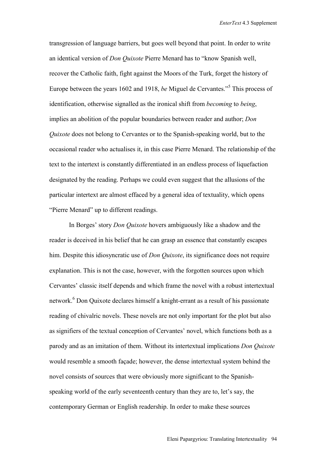transgression of language barriers, but goes well beyond that point. In order to write an identical version of *Don Quixote* Pierre Menard has to "know Spanish well, recover the Catholic faith, fight against the Moors of the Turk, forget the history of Europe between the years 1602 and 1918, *be* Miguel de Cervantes."<sup>5</sup> This process of identification, otherwise signalled as the ironical shift from *becoming* to *being*, implies an abolition of the popular boundaries between reader and author; *Don Quixote* does not belong to Cervantes or to the Spanish-speaking world, but to the occasional reader who actualises it, in this case Pierre Menard. The relationship of the text to the intertext is constantly differentiated in an endless process of liquefaction designated by the reading. Perhaps we could even suggest that the allusions of the particular intertext are almost effaced by a general idea of textuality, which opens "Pierre Menard" up to different readings.

In Borges' story *Don Quixote* hovers ambiguously like a shadow and the reader is deceived in his belief that he can grasp an essence that constantly escapes him. Despite this idiosyncratic use of *Don Quixote*, its significance does not require explanation. This is not the case, however, with the forgotten sources upon which Cervantes' classic itself depends and which frame the novel with a robust intertextual network.<sup>6</sup> Don Quixote declares himself a knight-errant as a result of his passionate reading of chivalric novels. These novels are not only important for the plot but also as signifiers of the textual conception of Cervantes' novel, which functions both as a parody and as an imitation of them. Without its intertextual implications *Don Quixote* would resemble a smooth façade; however, the dense intertextual system behind the novel consists of sources that were obviously more significant to the Spanishspeaking world of the early seventeenth century than they are to, let's say, the contemporary German or English readership. In order to make these sources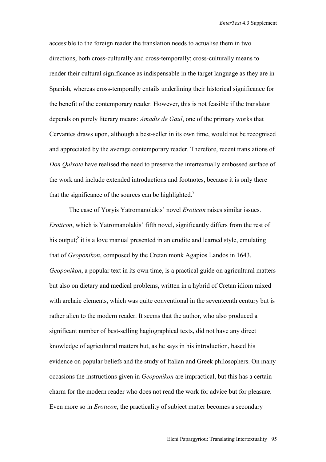accessible to the foreign reader the translation needs to actualise them in two directions, both cross-culturally and cross-temporally; cross-culturally means to render their cultural significance as indispensable in the target language as they are in Spanish, whereas cross-temporally entails underlining their historical significance for the benefit of the contemporary reader. However, this is not feasible if the translator depends on purely literary means: *Amadis de Gaul*, one of the primary works that Cervantes draws upon, although a best-seller in its own time, would not be recognised and appreciated by the average contemporary reader. Therefore, recent translations of *Don Quixote* have realised the need to preserve the intertextually embossed surface of the work and include extended introductions and footnotes, because it is only there that the significance of the sources can be highlighted.<sup>7</sup>

The case of Yoryis Yatromanolakis' novel *Eroticon* raises similar issues. *Eroticon*, which is Yatromanolakis' fifth novel, significantly differs from the rest of his output; $\delta$  it is a love manual presented in an erudite and learned style, emulating that of *Geoponikon*, composed by the Cretan monk Agapios Landos in 1643. *Geoponikon*, a popular text in its own time, is a practical guide on agricultural matters but also on dietary and medical problems, written in a hybrid of Cretan idiom mixed with archaic elements, which was quite conventional in the seventeenth century but is rather alien to the modern reader. It seems that the author, who also produced a significant number of best-selling hagiographical texts, did not have any direct knowledge of agricultural matters but, as he says in his introduction, based his evidence on popular beliefs and the study of Italian and Greek philosophers. On many occasions the instructions given in *Geoponikon* are impractical, but this has a certain charm for the modern reader who does not read the work for advice but for pleasure. Even more so in *Eroticon*, the practicality of subject matter becomes a secondary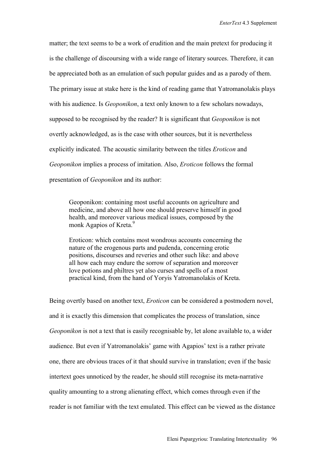matter; the text seems to be a work of erudition and the main pretext for producing it is the challenge of discoursing with a wide range of literary sources. Therefore, it can be appreciated both as an emulation of such popular guides and as a parody of them. The primary issue at stake here is the kind of reading game that Yatromanolakis plays with his audience. Is *Geoponikon*, a text only known to a few scholars nowadays, supposed to be recognised by the reader? It is significant that *Geoponikon* is not overtly acknowledged, as is the case with other sources, but it is nevertheless explicitly indicated. The acoustic similarity between the titles *Eroticon* and *Geoponikon* implies a process of imitation. Also, *Eroticon* follows the formal presentation of *Geoponikon* and its author:

Geoponikon: containing most useful accounts on agriculture and medicine, and above all how one should preserve himself in good health, and moreover various medical issues, composed by the monk Agapios of Kreta.<sup>9</sup>

Eroticon: which contains most wondrous accounts concerning the nature of the erogenous parts and pudenda, concerning erotic positions, discourses and reveries and other such like: and above all how each may endure the sorrow of separation and moreover love potions and philtres yet also curses and spells of a most practical kind, from the hand of Yoryis Yatromanolakis of Kreta.

Being overtly based on another text, *Eroticon* can be considered a postmodern novel, and it is exactly this dimension that complicates the process of translation, since *Geoponikon* is not a text that is easily recognisable by, let alone available to, a wider audience. But even if Yatromanolakis' game with Agapios' text is a rather private one, there are obvious traces of it that should survive in translation; even if the basic intertext goes unnoticed by the reader, he should still recognise its meta-narrative quality amounting to a strong alienating effect, which comes through even if the reader is not familiar with the text emulated. This effect can be viewed as the distance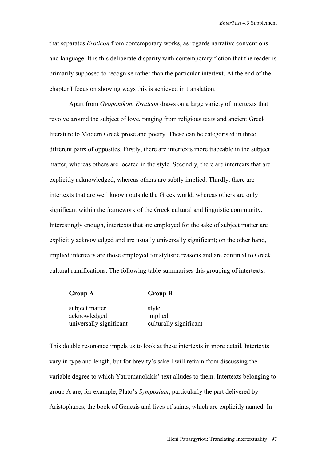that separates *Eroticon* from contemporary works, as regards narrative conventions and language. It is this deliberate disparity with contemporary fiction that the reader is primarily supposed to recognise rather than the particular intertext. At the end of the chapter I focus on showing ways this is achieved in translation.

Apart from *Geoponikon*, *Eroticon* draws on a large variety of intertexts that revolve around the subject of love, ranging from religious texts and ancient Greek literature to Modern Greek prose and poetry. These can be categorised in three different pairs of opposites. Firstly, there are intertexts more traceable in the subject matter, whereas others are located in the style. Secondly, there are intertexts that are explicitly acknowledged, whereas others are subtly implied. Thirdly, there are intertexts that are well known outside the Greek world, whereas others are only significant within the framework of the Greek cultural and linguistic community. Interestingly enough, intertexts that are employed for the sake of subject matter are explicitly acknowledged and are usually universally significant; on the other hand, implied intertexts are those employed for stylistic reasons and are confined to Greek cultural ramifications. The following table summarises this grouping of intertexts:

| <b>Group A</b> | <b>Group B</b> |
|----------------|----------------|
|                |                |

subject matter style acknowledged implied universally significant culturally significant

This double resonance impels us to look at these intertexts in more detail. Intertexts vary in type and length, but for brevity's sake I will refrain from discussing the variable degree to which Yatromanolakis' text alludes to them. Intertexts belonging to group A are, for example, Plato's *Symposium*, particularly the part delivered by Aristophanes, the book of Genesis and lives of saints, which are explicitly named. In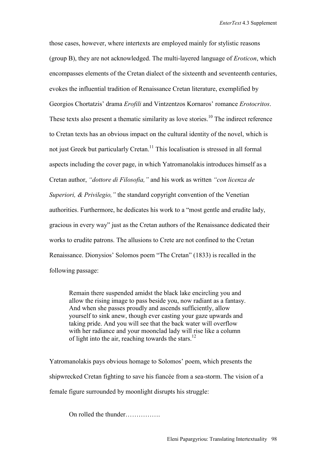those cases, however, where intertexts are employed mainly for stylistic reasons (group B), they are not acknowledged. The multi-layered language of *Eroticon*, which encompasses elements of the Cretan dialect of the sixteenth and seventeenth centuries, evokes the influential tradition of Renaissance Cretan literature, exemplified by Georgios Chortatzis' drama *Erofili* and Vintzentzos Kornaros' romance *Erotocritos*. These texts also present a thematic similarity as love stories.<sup>10</sup> The indirect reference to Cretan texts has an obvious impact on the cultural identity of the novel, which is not just Greek but particularly Cretan.<sup>11</sup> This localisation is stressed in all formal aspects including the cover page, in which Yatromanolakis introduces himself as a Cretan author, *"dottore di Filosofia,"* and his work as written *"con licenza de Superiori, & Privilegio,"* the standard copyright convention of the Venetian authorities. Furthermore, he dedicates his work to a "most gentle and erudite lady, gracious in every way" just as the Cretan authors of the Renaissance dedicated their works to erudite patrons. The allusions to Crete are not confined to the Cretan Renaissance. Dionysios' Solomos poem "The Cretan" (1833) is recalled in the following passage:

Remain there suspended amidst the black lake encircling you and allow the rising image to pass beside you, now radiant as a fantasy. And when she passes proudly and ascends sufficiently, allow yourself to sink anew, though ever casting your gaze upwards and taking pride. And you will see that the back water will overflow with her radiance and your moonclad lady will rise like a column of light into the air, reaching towards the stars. $^{12}$ 

Yatromanolakis pays obvious homage to Solomos' poem, which presents the shipwrecked Cretan fighting to save his fiancée from a sea-storm. The vision of a female figure surrounded by moonlight disrupts his struggle:

On rolled the thunder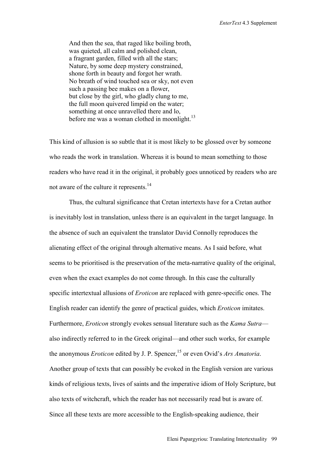And then the sea, that raged like boiling broth, was quieted, all calm and polished clean, a fragrant garden, filled with all the stars; Nature, by some deep mystery constrained, shone forth in beauty and forgot her wrath. No breath of wind touched sea or sky, not even such a passing bee makes on a flower, but close by the girl, who gladly clung to me, the full moon quivered limpid on the water; something at once unravelled there and lo, before me was a woman clothed in moonlight.<sup>13</sup>

This kind of allusion is so subtle that it is most likely to be glossed over by someone who reads the work in translation. Whereas it is bound to mean something to those readers who have read it in the original, it probably goes unnoticed by readers who are not aware of the culture it represents.<sup>14</sup>

Thus, the cultural significance that Cretan intertexts have for a Cretan author is inevitably lost in translation, unless there is an equivalent in the target language. In the absence of such an equivalent the translator David Connolly reproduces the alienating effect of the original through alternative means. As I said before, what seems to be prioritised is the preservation of the meta-narrative quality of the original, even when the exact examples do not come through. In this case the culturally specific intertextual allusions of *Eroticon* are replaced with genre-specific ones. The English reader can identify the genre of practical guides, which *Eroticon* imitates. Furthermore, *Eroticon* strongly evokes sensual literature such as the *Kama Sutra* also indirectly referred to in the Greek original—and other such works, for example the anonymous *Eroticon* edited by J. P. Spencer,<sup>15</sup> or even Ovid's *Ars Amatoria*. Another group of texts that can possibly be evoked in the English version are various kinds of religious texts, lives of saints and the imperative idiom of Holy Scripture, but also texts of witchcraft, which the reader has not necessarily read but is aware of. Since all these texts are more accessible to the English-speaking audience, their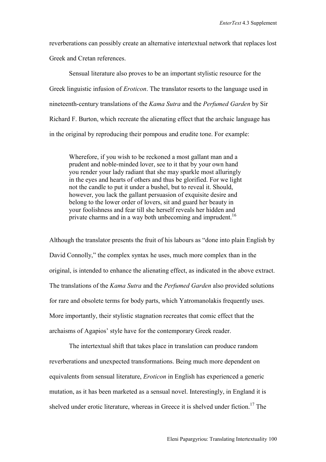reverberations can possibly create an alternative intertextual network that replaces lost Greek and Cretan references.

Sensual literature also proves to be an important stylistic resource for the Greek linguistic infusion of *Eroticon*. The translator resorts to the language used in nineteenth-century translations of the *Kama Sutra* and the *Perfumed Garden* by Sir Richard F. Burton, which recreate the alienating effect that the archaic language has in the original by reproducing their pompous and erudite tone. For example:

Wherefore, if you wish to be reckoned a most gallant man and a prudent and noble-minded lover, see to it that by your own hand you render your lady radiant that she may sparkle most alluringly in the eyes and hearts of others and thus be glorified. For we light not the candle to put it under a bushel, but to reveal it. Should, however, you lack the gallant persuasion of exquisite desire and belong to the lower order of lovers, sit and guard her beauty in your foolishness and fear till she herself reveals her hidden and private charms and in a way both unbecoming and imprudent.<sup>16</sup>

Although the translator presents the fruit of his labours as "done into plain English by David Connolly," the complex syntax he uses, much more complex than in the original, is intended to enhance the alienating effect, as indicated in the above extract. The translations of the *Kama Sutra* and the *Perfumed Garden* also provided solutions for rare and obsolete terms for body parts, which Yatromanolakis frequently uses. More importantly, their stylistic stagnation recreates that comic effect that the archaisms of Agapios' style have for the contemporary Greek reader.

The intertextual shift that takes place in translation can produce random reverberations and unexpected transformations. Being much more dependent on equivalents from sensual literature, *Eroticon* in English has experienced a generic mutation, as it has been marketed as a sensual novel. Interestingly, in England it is shelved under erotic literature, whereas in Greece it is shelved under fiction.<sup>17</sup> The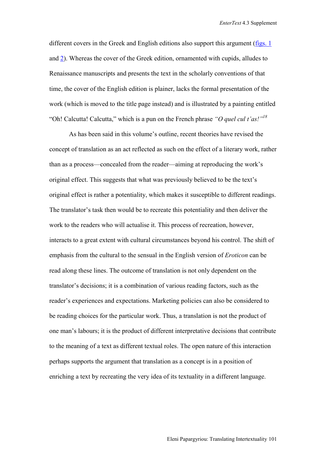different covers in the Greek and English editions also support this argument [\(figs. 1](http://www.brunel.ac.uk/faculty/arts/EnterText/4_3/fig_1.jpg) and [2\)](http://www.brunel.ac.uk/faculty/arts/EnterText/4_3/fig_2.jpg). Whereas the cover of the Greek edition, ornamented with cupids, alludes to Renaissance manuscripts and presents the text in the scholarly conventions of that time, the cover of the English edition is plainer, lacks the formal presentation of the work (which is moved to the title page instead) and is illustrated by a painting entitled "Oh! Calcutta! Calcutta," which is a pun on the French phrase *"O quel cul t'as!"18*

As has been said in this volume's outline, recent theories have revised the concept of translation as an act reflected as such on the effect of a literary work, rather than as a process—concealed from the reader—aiming at reproducing the work's original effect. This suggests that what was previously believed to be the text's original effect is rather a potentiality, which makes it susceptible to different readings. The translator's task then would be to recreate this potentiality and then deliver the work to the readers who will actualise it. This process of recreation, however, interacts to a great extent with cultural circumstances beyond his control. The shift of emphasis from the cultural to the sensual in the English version of *Eroticon* can be read along these lines. The outcome of translation is not only dependent on the translator's decisions; it is a combination of various reading factors, such as the reader's experiences and expectations. Marketing policies can also be considered to be reading choices for the particular work. Thus, a translation is not the product of one man's labours; it is the product of different interpretative decisions that contribute to the meaning of a text as different textual roles. The open nature of this interaction perhaps supports the argument that translation as a concept is in a position of enriching a text by recreating the very idea of its textuality in a different language.